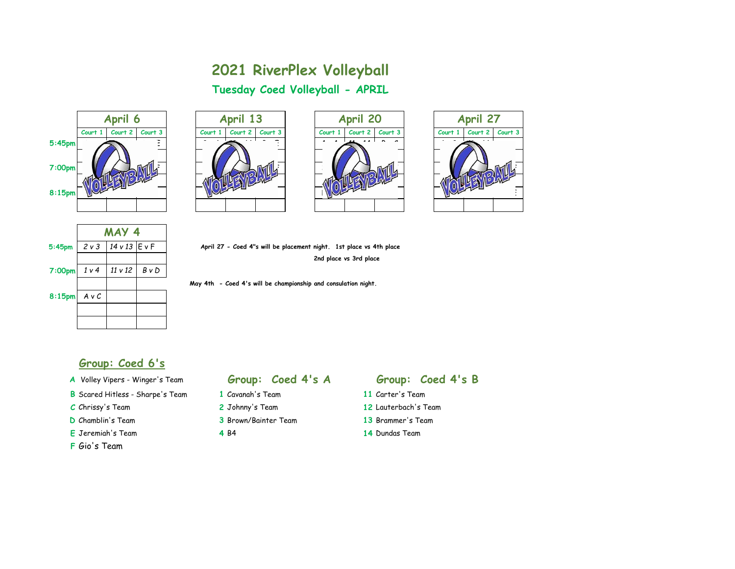# **2021 RiverPlex Volleyball Tuesday Coed Volleyball - APRIL**









|                    | MAY 4          |               |            |  |
|--------------------|----------------|---------------|------------|--|
| $5:45$ pm          | 2v3            | 14 v 13 E v F |            |  |
|                    |                |               |            |  |
| 7:00 <sub>pm</sub> | 1 <sub>v</sub> | 11 v 12       | $B \vee D$ |  |
|                    |                |               |            |  |
| 8:15 <sub>pm</sub> | $A \vee C$     |               |            |  |
|                    |                |               |            |  |
|                    |                |               |            |  |

**5:45pm** *2 v 3 14 v 13* E v F **April 27 - Coed 4"s will be placement night. 1st place vs 4th place 2nd place vs 3rd place**

 **May 4th - Coed 4's will be championship and consulation night.**

### **Group: Coed 6's**

- 
- **B** Scared Hitless Sharpe's Team **1** Cavanah's Team **11** Carter's Team
- 
- 
- **E** Jeremiah's Team **4** B4 **14** Dundas Team
- **F** Gio's Team

- 
- 
- **D** Chamblin's Team **3** Brown/Bainter Team **13** Brammer's Team
	-

# **A** Volley Vipers - Winger's Team **Group: Coed 4's A Group: Coed 4's B**

- 
- **C** Chrissy's Team **2** Johnny's Team **12** Lauterbach's Team
	-
	-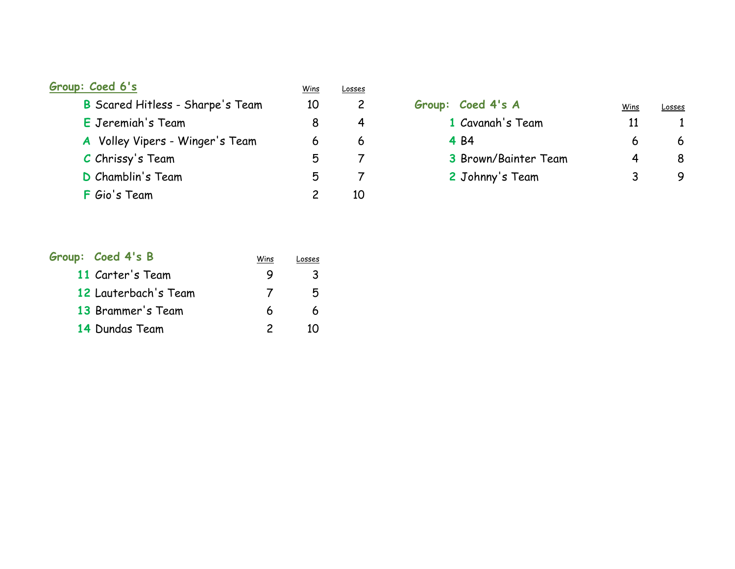| Group: Coed 6's                         | <u>Wins</u> | Losses |                      |      |        |
|-----------------------------------------|-------------|--------|----------------------|------|--------|
| <b>B</b> Scared Hitless - Sharpe's Team | 10          |        | Group: Coed 4's A    | Wins | Losses |
| E Jeremiah's Team                       |             | 4      | 1 Cavanah's Team     |      |        |
| A Volley Vipers - Winger's Team         | 6           | 6      | 4 B4                 | 6    | 6      |
| C Chrissy's Team                        | 5           |        | 3 Brown/Bainter Team | 4    | 8      |
| D Chamblin's Team                       | 5           |        | 2 Johnny's Team      |      | 9      |
| <b>F</b> Gio's Team                     |             | 10     |                      |      |        |

| Group: Coed 4's A    | Wins | <b>LOSSES</b> |
|----------------------|------|---------------|
| 1 Cavanah's Team     | 11   |               |
| 4 B4                 | 6    |               |
| 3 Brown/Bainter Team | 4    |               |
| 2 Johnny's Team      | 3    |               |

| Group: Coed 4's B    | Wins     | Losses |
|----------------------|----------|--------|
| 11 Carter's Team     |          | ર      |
| 12 Lauterbach's Team | $\prime$ | 5      |
| 13 Brammer's Team    | 6        | 6      |
| 14 Dundas Team       |          |        |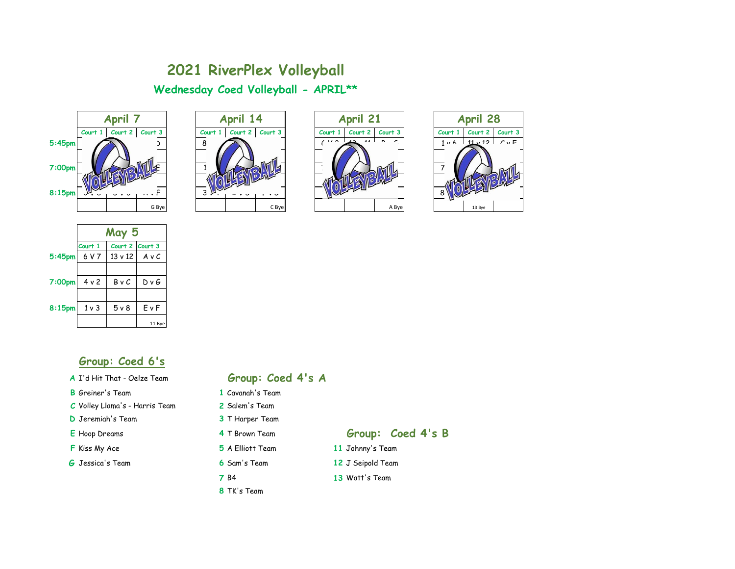# **2021 RiverPlex Volleyball Wednesday Coed Volleyball - APRIL\*\***









|        | May 5   |                 |        |  |
|--------|---------|-----------------|--------|--|
|        | Court 1 | Court 2 Court 3 |        |  |
| 5:45pm | 6 V 7   | $13 \vee 12$    | AvC    |  |
|        |         |                 |        |  |
| 7:00pm | 4 v 2   | BvC             | D v G  |  |
|        |         |                 |        |  |
| 8:15pm | $1v$ 3  | 5v8             | EvF    |  |
|        |         |                 | 11 Bye |  |

## **Group: Coed 6's**

### **B** Greiner's Team **1** Cavanah's Team

- **C** Volley Llama's Harris Team **2** Salem's Team
- **D** Jeremiah's Team **3** T Harper Team
- 
- 
- **G** Jessica's Team **6** Sam's Team **12** J Seipold Team

# **A** I'd Hit That - Oelze Team **Group: Coed 4's A**

- 
- 
- 
- 
- 
- 
- 
- **8** TK's Team

### **E** Hoop Dreams **4** T Brown Team **Group: Coed 4's B**

- **F** Kiss My Ace **5** A Elliott Team **11** Johnny's Team
	-
	- **7** B4 **13** Watt's Team